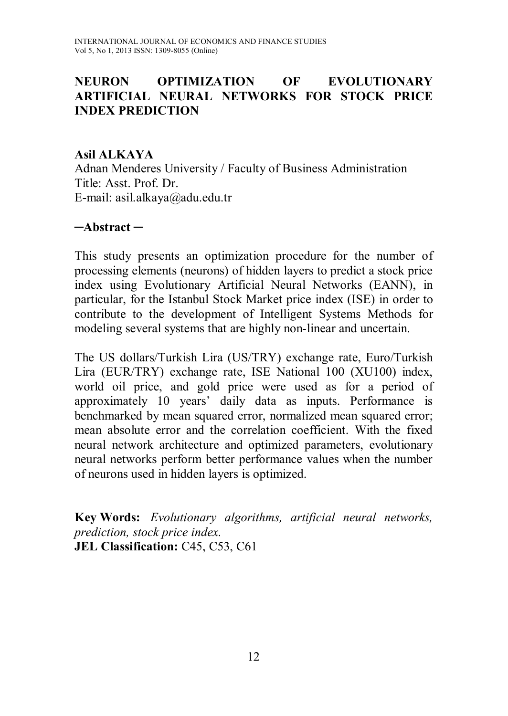## **NEURON OPTIMIZATION OF EVOLUTIONARY ARTIFICIAL NEURAL NETWORKS FOR STOCK PRICE INDEX PREDICTION**

#### **Asil ALKAYA**

Adnan Menderes University / Faculty of Business Administration Title: Asst. Prof. Dr. E-mail: asil.alkaya@adu.edu.tr

#### **─Abstract ─**

This study presents an optimization procedure for the number of processing elements (neurons) of hidden layers to predict a stock price index using Evolutionary Artificial Neural Networks (EANN), in particular, for the Istanbul Stock Market price index (ISE) in order to contribute to the development of Intelligent Systems Methods for modeling several systems that are highly non-linear and uncertain.

The US dollars/Turkish Lira (US/TRY) exchange rate, Euro/Turkish Lira (EUR/TRY) exchange rate, ISE National 100 (XU100) index, world oil price, and gold price were used as for a period of approximately 10 years' daily data as inputs. Performance is benchmarked by mean squared error, normalized mean squared error; mean absolute error and the correlation coefficient. With the fixed neural network architecture and optimized parameters, evolutionary neural networks perform better performance values when the number of neurons used in hidden layers is optimized.

**Key Words:** *Evolutionary algorithms, artificial neural networks, prediction, stock price index.* **JEL Classification: C45, C53, C61**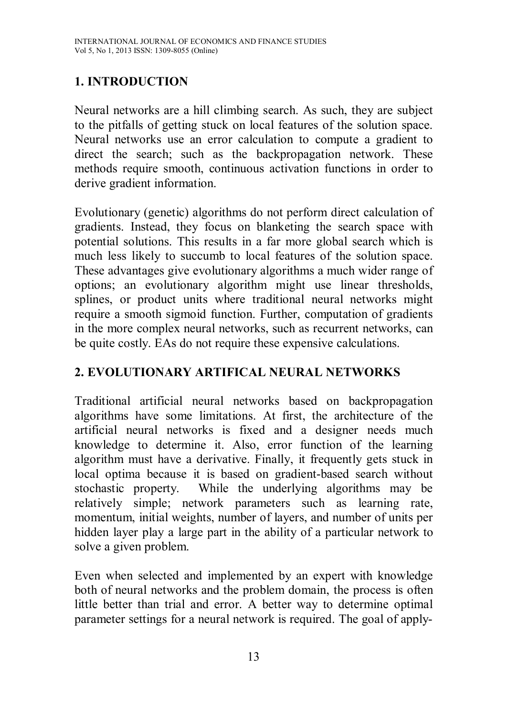# **1. INTRODUCTION**

Neural networks are a hill climbing search. As such, they are subject to the pitfalls of getting stuck on local features of the solution space. Neural networks use an error calculation to compute a gradient to direct the search; such as the backpropagation network. These methods require smooth, continuous activation functions in order to derive gradient information.

Evolutionary (genetic) algorithms do not perform direct calculation of gradients. Instead, they focus on blanketing the search space with potential solutions. This results in a far more global search which is much less likely to succumb to local features of the solution space. These advantages give evolutionary algorithms a much wider range of options; an evolutionary algorithm might use linear thresholds, splines, or product units where traditional neural networks might require a smooth sigmoid function. Further, computation of gradients in the more complex neural networks, such as recurrent networks, can be quite costly. EAs do not require these expensive calculations.

# **2. EVOLUTIONARY ARTIFICAL NEURAL NETWORKS**

Traditional artificial neural networks based on backpropagation algorithms have some limitations. At first, the architecture of the artificial neural networks is fixed and a designer needs much knowledge to determine it. Also, error function of the learning algorithm must have a derivative. Finally, it frequently gets stuck in local optima because it is based on gradient-based search without stochastic property. While the underlying algorithms may be relatively simple; network parameters such as learning rate, momentum, initial weights, number of layers, and number of units per hidden layer play a large part in the ability of a particular network to solve a given problem.

Even when selected and implemented by an expert with knowledge both of neural networks and the problem domain, the process is often little better than trial and error. A better way to determine optimal parameter settings for a neural network is required. The goal of apply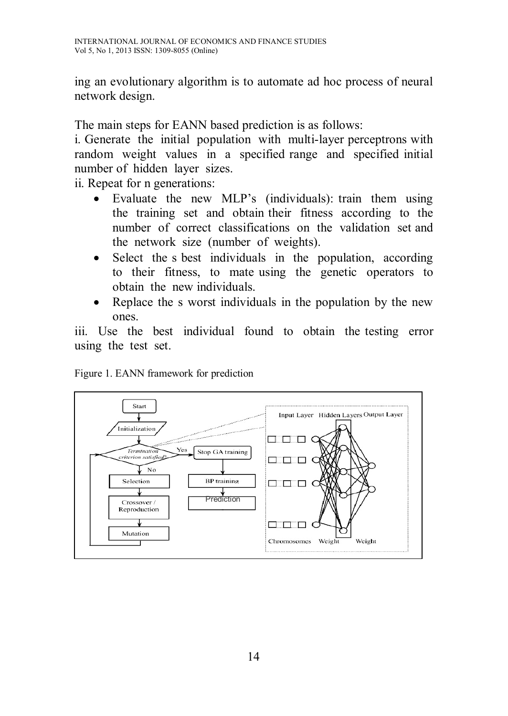ing an evolutionary algorithm is to automate ad hoc process of neural network design.

The main steps for EANN based prediction is as follows:

i. Generate the initial population with multi-layer perceptrons with random weight values in a specified range and specified initial number of hidden layer sizes.

ii. Repeat for n generations:

- Evaluate the new MLP's (individuals): train them using the training set and obtain their fitness according to the number of correct classifications on the validation set and the network size (number of weights).
- Select the s best individuals in the population, according to their fitness, to mate using the genetic operators to obtain the new individuals.
- Replace the s worst individuals in the population by the new ones.

iii. Use the best individual found to obtain the testing error using the test set.



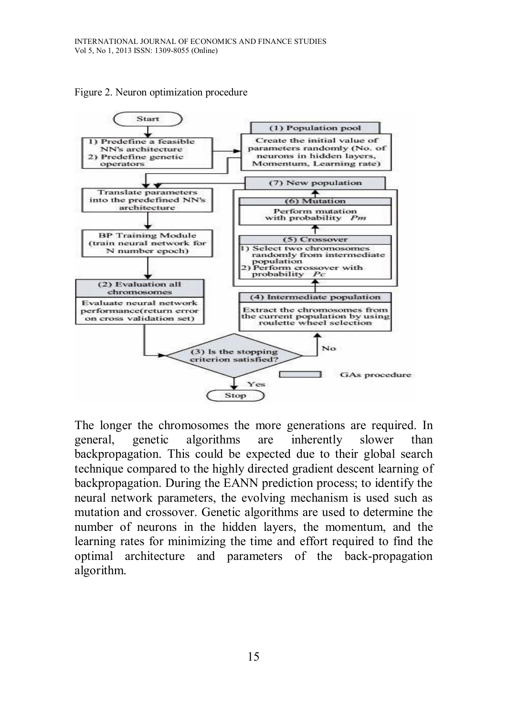

Figure 2. Neuron optimization procedure

The longer the chromosomes the more generations are required. In general, genetic algorithms are inherently slower than backpropagation. This could be expected due to their global search technique compared to the highly directed gradient descent learning of backpropagation. During the EANN prediction process; to identify the neural network parameters, the evolving mechanism is used such as mutation and crossover. Genetic algorithms are used to determine the number of neurons in the hidden layers, the momentum, and the learning rates for minimizing the time and effort required to find the optimal architecture and parameters of the back-propagation algorithm.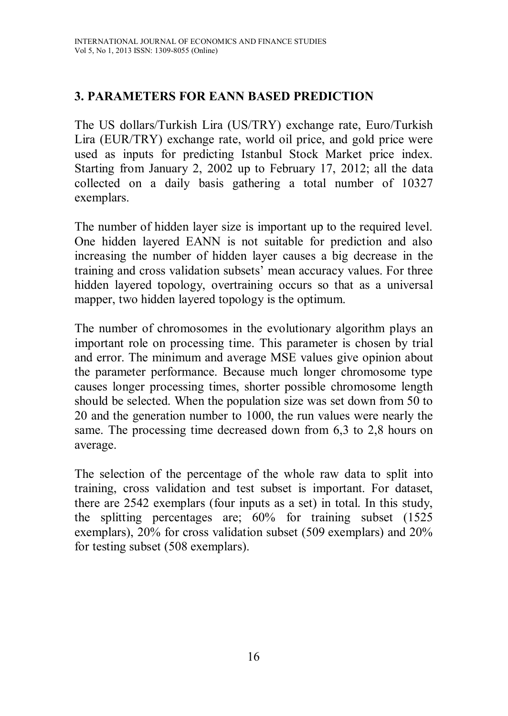# **3. PARAMETERS FOR EANN BASED PREDICTION**

The US dollars/Turkish Lira (US/TRY) exchange rate, Euro/Turkish Lira (EUR/TRY) exchange rate, world oil price, and gold price were used as inputs for predicting Istanbul Stock Market price index. Starting from January 2, 2002 up to February 17, 2012; all the data collected on a daily basis gathering a total number of 10327 exemplars.

The number of hidden layer size is important up to the required level. One hidden layered EANN is not suitable for prediction and also increasing the number of hidden layer causes a big decrease in the training and cross validation subsets' mean accuracy values. For three hidden layered topology, overtraining occurs so that as a universal mapper, two hidden layered topology is the optimum.

The number of chromosomes in the evolutionary algorithm plays an important role on processing time. This parameter is chosen by trial and error. The minimum and average MSE values give opinion about the parameter performance. Because much longer chromosome type causes longer processing times, shorter possible chromosome length should be selected. When the population size was set down from 50 to 20 and the generation number to 1000, the run values were nearly the same. The processing time decreased down from 6,3 to 2,8 hours on average.

The selection of the percentage of the whole raw data to split into training, cross validation and test subset is important. For dataset, there are 2542 exemplars (four inputs as a set) in total. In this study, the splitting percentages are; 60% for training subset (1525 exemplars), 20% for cross validation subset (509 exemplars) and 20% for testing subset (508 exemplars).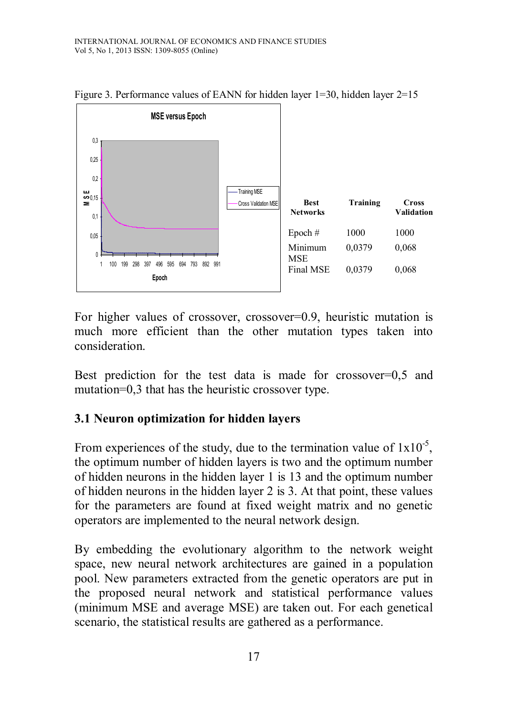

Figure 3. Performance values of EANN for hidden layer 1=30, hidden layer 2=15

For higher values of crossover, crossover=0.9, heuristic mutation is much more efficient than the other mutation types taken into consideration.

Best prediction for the test data is made for crossover=0,5 and mutation=0,3 that has the heuristic crossover type.

#### **3.1 Neuron optimization for hidden layers**

From experiences of the study, due to the termination value of  $1x10^{-5}$ , the optimum number of hidden layers is two and the optimum number of hidden neurons in the hidden layer 1 is 13 and the optimum number of hidden neurons in the hidden layer 2 is 3. At that point, these values for the parameters are found at fixed weight matrix and no genetic operators are implemented to the neural network design.

By embedding the evolutionary algorithm to the network weight space, new neural network architectures are gained in a population pool. New parameters extracted from the genetic operators are put in the proposed neural network and statistical performance values (minimum MSE and average MSE) are taken out. For each genetical scenario, the statistical results are gathered as a performance.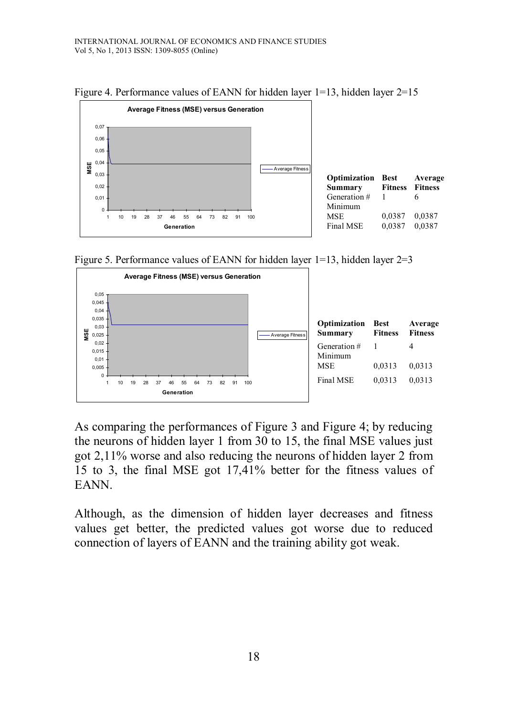

Figure 4. Performance values of EANN for hidden layer 1=13, hidden layer 2=15

Figure 5. Performance values of EANN for hidden layer  $1=13$ , hidden layer  $2=3$ 



As comparing the performances of Figure 3 and Figure 4; by reducing the neurons of hidden layer 1 from 30 to 15, the final MSE values just got 2,11% worse and also reducing the neurons of hidden layer 2 from 15 to 3, the final MSE got 17,41% better for the fitness values of EANN.

Although, as the dimension of hidden layer decreases and fitness values get better, the predicted values got worse due to reduced connection of layers of EANN and the training ability got weak.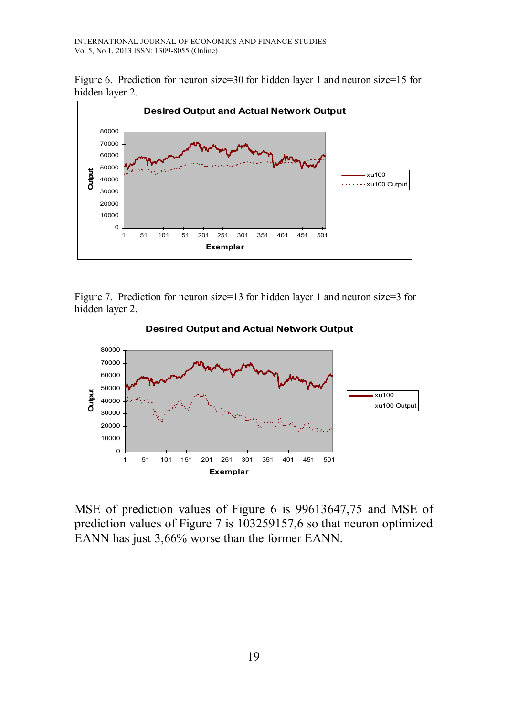Figure 6. Prediction for neuron size=30 for hidden layer 1 and neuron size=15 for hidden layer 2.



Figure 7. Prediction for neuron size=13 for hidden layer 1 and neuron size=3 for hidden layer 2.



MSE of prediction values of Figure 6 is 99613647,75 and MSE of prediction values of Figure 7 is 103259157,6 so that neuron optimized EANN has just 3,66% worse than the former EANN.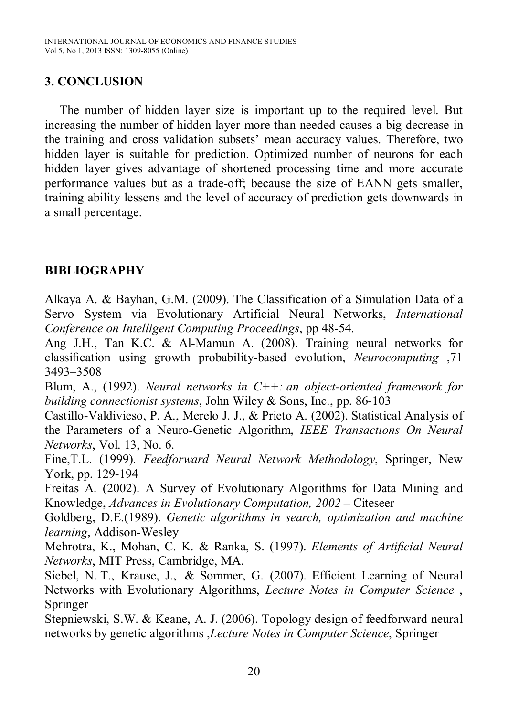## **3. CONCLUSION**

The number of hidden layer size is important up to the required level. But increasing the number of hidden layer more than needed causes a big decrease in the training and cross validation subsets' mean accuracy values. Therefore, two hidden layer is suitable for prediction. Optimized number of neurons for each hidden layer gives advantage of shortened processing time and more accurate performance values but as a trade-off; because the size of EANN gets smaller, training ability lessens and the level of accuracy of prediction gets downwards in a small percentage.

## **BIBLIOGRAPHY**

Alkaya A. & Bayhan, G.M. (2009). The Classification of a Simulation Data of a Servo System via Evolutionary Artificial Neural Networks, *International Conference on Intelligent Computing Proceedings*, pp 48-54.

Ang J.H., Tan K.C. & Al-Mamun A. (2008). Training neural networks for classification using growth probability-based evolution, *Neurocomputing* ,71 3493–3508

Blum, A., (1992). *Neural networks in C++: an object-oriented framework for building connectionist systems*, John Wiley & Sons, Inc., pp. 86-103

Castillo-Valdivieso, P. A., Merelo J. J., & Prieto A. (2002). Statistical Analysis of the Parameters of a Neuro-Genetic Algorithm, *IEEE Transactıons On Neural Networks*, Vol. 13, No. 6.

Fine,T.L. (1999). *Feedforward Neural Network Methodology*, Springer, New York, pp. 129-194

Freitas A. (2002). A Survey of Evolutionary Algorithms for Data Mining and Knowledge, *Advances in Evolutionary Computation, 2002* – Citeseer

Goldberg, D.E.(1989). *Genetic algorithms in search, optimization and machine learning*, Addison-Wesley

Mehrotra, K., Mohan, C. K. & Ranka, S. (1997). *Elements of Artificial Neural Networks*, MIT Press, Cambridge, MA.

Siebel, N. T., Krause, J., & Sommer, G. (2007). Efficient Learning of Neural Networks with Evolutionary Algorithms, *Lecture Notes in Computer Science* , Springer

Stepniewski, S.W. & Keane, A. J. (2006). Topology design of feedforward neural networks by genetic algorithms ,*Lecture Notes in Computer Science*, Springer